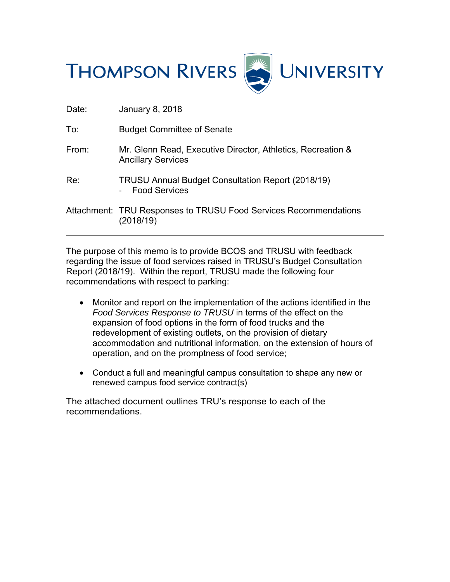

| Dale. | Jaliual V U, ZU IU                                                                       |
|-------|------------------------------------------------------------------------------------------|
| To:   | <b>Budget Committee of Senate</b>                                                        |
| From: | Mr. Glenn Read, Executive Director, Athletics, Recreation &<br><b>Ancillary Services</b> |
| Re:   | <b>TRUSU Annual Budget Consultation Report (2018/19)</b><br><b>Food Services</b>         |
|       | Attachment: TRU Responses to TRUSU Food Services Recommendations<br>(2018/19)            |

Dato: January 8, 2018

 $\overline{a}$ 

The purpose of this memo is to provide BCOS and TRUSU with feedback regarding the issue of food services raised in TRUSU's Budget Consultation Report (2018/19). Within the report, TRUSU made the following four recommendations with respect to parking:

- Monitor and report on the implementation of the actions identified in the *Food Services Response to TRUSU* in terms of the effect on the expansion of food options in the form of food trucks and the redevelopment of existing outlets, on the provision of dietary accommodation and nutritional information, on the extension of hours of operation, and on the promptness of food service;
- Conduct a full and meaningful campus consultation to shape any new or renewed campus food service contract(s)

The attached document outlines TRU's response to each of the recommendations.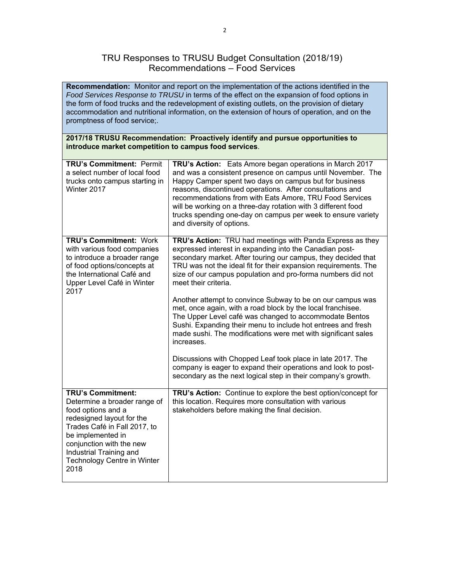## TRU Responses to TRUSU Budget Consultation (2018/19) Recommendations – Food Services

**Recommendation:** Monitor and report on the implementation of the actions identified in the *Food Services Response to TRUSU* in terms of the effect on the expansion of food options in the form of food trucks and the redevelopment of existing outlets, on the provision of dietary accommodation and nutritional information, on the extension of hours of operation, and on the promptness of food service;.

## **2017/18 TRUSU Recommendation: Proactively identify and pursue opportunities to introduce market competition to campus food services**.

| <b>TRU's Commitment: Permit</b><br>a select number of local food<br>trucks onto campus starting in<br>Winter 2017                                                                                                                                              | TRU's Action: Eats Amore began operations in March 2017<br>and was a consistent presence on campus until November. The<br>Happy Camper spent two days on campus but for business<br>reasons, discontinued operations. After consultations and<br>recommendations from with Eats Amore, TRU Food Services<br>will be working on a three-day rotation with 3 different food<br>trucks spending one-day on campus per week to ensure variety<br>and diversity of options.                                                                                                                                                                                                                                                                                                                                                                                                                |
|----------------------------------------------------------------------------------------------------------------------------------------------------------------------------------------------------------------------------------------------------------------|---------------------------------------------------------------------------------------------------------------------------------------------------------------------------------------------------------------------------------------------------------------------------------------------------------------------------------------------------------------------------------------------------------------------------------------------------------------------------------------------------------------------------------------------------------------------------------------------------------------------------------------------------------------------------------------------------------------------------------------------------------------------------------------------------------------------------------------------------------------------------------------|
| <b>TRU's Commitment: Work</b><br>with various food companies<br>to introduce a broader range<br>of food options/concepts at<br>the International Café and<br>Upper Level Café in Winter<br>2017                                                                | TRU's Action: TRU had meetings with Panda Express as they<br>expressed interest in expanding into the Canadian post-<br>secondary market. After touring our campus, they decided that<br>TRU was not the ideal fit for their expansion requirements. The<br>size of our campus population and pro-forma numbers did not<br>meet their criteria.<br>Another attempt to convince Subway to be on our campus was<br>met, once again, with a road block by the local franchisee.<br>The Upper Level café was changed to accommodate Bentos<br>Sushi. Expanding their menu to include hot entrees and fresh<br>made sushi. The modifications were met with significant sales<br>increases.<br>Discussions with Chopped Leaf took place in late 2017. The<br>company is eager to expand their operations and look to post-<br>secondary as the next logical step in their company's growth. |
| <b>TRU's Commitment:</b><br>Determine a broader range of<br>food options and a<br>redesigned layout for the<br>Trades Café in Fall 2017, to<br>be implemented in<br>conjunction with the new<br>Industrial Training and<br>Technology Centre in Winter<br>2018 | TRU's Action: Continue to explore the best option/concept for<br>this location. Requires more consultation with various<br>stakeholders before making the final decision.                                                                                                                                                                                                                                                                                                                                                                                                                                                                                                                                                                                                                                                                                                             |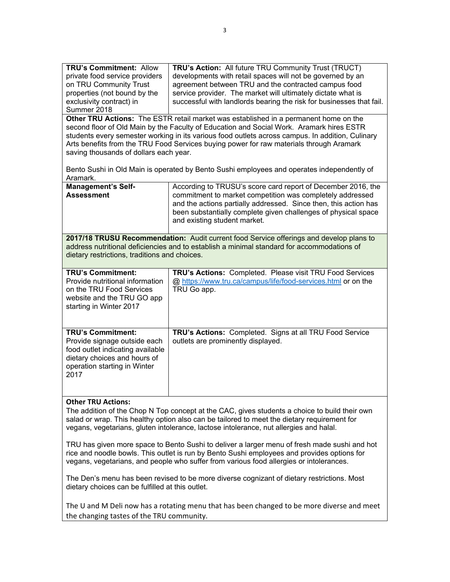| <b>TRU's Commitment: Allow</b><br>TRU's Action: All future TRU Community Trust (TRUCT)<br>private food service providers<br>developments with retail spaces will not be governed by an<br>agreement between TRU and the contracted campus food<br>on TRU Community Trust<br>properties (not bound by the<br>service provider. The market will ultimately dictate what is<br>exclusivity contract) in<br>successful with landlords bearing the risk for businesses that fail.<br>Summer 2018<br>Other TRU Actions: The ESTR retail market was established in a permanent home on the<br>second floor of Old Main by the Faculty of Education and Social Work. Aramark hires ESTR<br>students every semester working in its various food outlets across campus. In addition, Culinary<br>Arts benefits from the TRU Food Services buying power for raw materials through Aramark<br>saving thousands of dollars each year. |                                                                                                                                                                                                                                                                                                 |  |  |  |
|--------------------------------------------------------------------------------------------------------------------------------------------------------------------------------------------------------------------------------------------------------------------------------------------------------------------------------------------------------------------------------------------------------------------------------------------------------------------------------------------------------------------------------------------------------------------------------------------------------------------------------------------------------------------------------------------------------------------------------------------------------------------------------------------------------------------------------------------------------------------------------------------------------------------------|-------------------------------------------------------------------------------------------------------------------------------------------------------------------------------------------------------------------------------------------------------------------------------------------------|--|--|--|
| Bento Sushi in Old Main is operated by Bento Sushi employees and operates independently of<br>Aramark.                                                                                                                                                                                                                                                                                                                                                                                                                                                                                                                                                                                                                                                                                                                                                                                                                   |                                                                                                                                                                                                                                                                                                 |  |  |  |
| <b>Management's Self-</b><br><b>Assessment</b>                                                                                                                                                                                                                                                                                                                                                                                                                                                                                                                                                                                                                                                                                                                                                                                                                                                                           | According to TRUSU's score card report of December 2016, the<br>commitment to market competition was completely addressed<br>and the actions partially addressed. Since then, this action has<br>been substantially complete given challenges of physical space<br>and existing student market. |  |  |  |
| 2017/18 TRUSU Recommendation: Audit current food Service offerings and develop plans to<br>address nutritional deficiencies and to establish a minimal standard for accommodations of<br>dietary restrictions, traditions and choices.                                                                                                                                                                                                                                                                                                                                                                                                                                                                                                                                                                                                                                                                                   |                                                                                                                                                                                                                                                                                                 |  |  |  |
| <b>TRU's Commitment:</b><br>Provide nutritional information<br>on the TRU Food Services<br>website and the TRU GO app<br>starting in Winter 2017                                                                                                                                                                                                                                                                                                                                                                                                                                                                                                                                                                                                                                                                                                                                                                         | TRU's Actions: Completed. Please visit TRU Food Services<br>@ https://www.tru.ca/campus/life/food-services.html or on the<br>TRU Go app.                                                                                                                                                        |  |  |  |
| <b>TRU's Commitment:</b><br>Provide signage outside each<br>food outlet indicating available<br>dietary choices and hours of<br>operation starting in Winter<br>2017                                                                                                                                                                                                                                                                                                                                                                                                                                                                                                                                                                                                                                                                                                                                                     | TRU's Actions: Completed. Signs at all TRU Food Service<br>outlets are prominently displayed.                                                                                                                                                                                                   |  |  |  |
| <b>Other TRU Actions:</b><br>The addition of the Chop N Top concept at the CAC, gives students a choice to build their own<br>salad or wrap. This healthy option also can be tailored to meet the dietary requirement for<br>vegans, vegetarians, gluten intolerance, lactose intolerance, nut allergies and halal.                                                                                                                                                                                                                                                                                                                                                                                                                                                                                                                                                                                                      |                                                                                                                                                                                                                                                                                                 |  |  |  |
| TRU has given more space to Bento Sushi to deliver a larger menu of fresh made sushi and hot<br>rice and noodle bowls. This outlet is run by Bento Sushi employees and provides options for<br>vegans, vegetarians, and people who suffer from various food allergies or intolerances.                                                                                                                                                                                                                                                                                                                                                                                                                                                                                                                                                                                                                                   |                                                                                                                                                                                                                                                                                                 |  |  |  |
| The Den's menu has been revised to be more diverse cognizant of dietary restrictions. Most<br>dietary choices can be fulfilled at this outlet.                                                                                                                                                                                                                                                                                                                                                                                                                                                                                                                                                                                                                                                                                                                                                                           |                                                                                                                                                                                                                                                                                                 |  |  |  |
| The U and M Deli now has a rotating menu that has been changed to be more diverse and meet                                                                                                                                                                                                                                                                                                                                                                                                                                                                                                                                                                                                                                                                                                                                                                                                                               |                                                                                                                                                                                                                                                                                                 |  |  |  |

the changing tastes of the TRU community.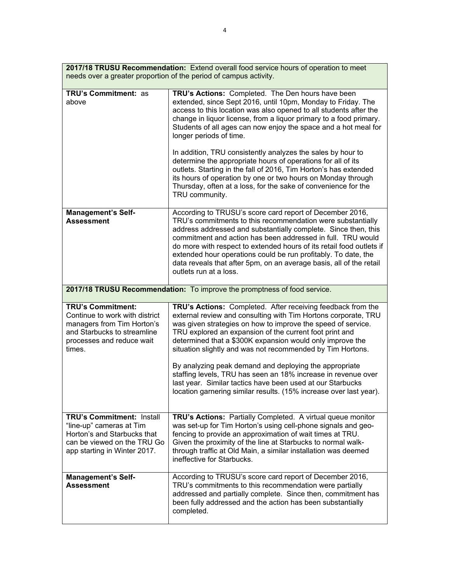| 2017/18 TRUSU Recommendation: Extend overall food service hours of operation to meet<br>needs over a greater proportion of the period of campus activity.      |                                                                                                                                                                                                                                                                                                                                                                                                                                                                                                                                                                                                                                                                                                                   |  |  |  |
|----------------------------------------------------------------------------------------------------------------------------------------------------------------|-------------------------------------------------------------------------------------------------------------------------------------------------------------------------------------------------------------------------------------------------------------------------------------------------------------------------------------------------------------------------------------------------------------------------------------------------------------------------------------------------------------------------------------------------------------------------------------------------------------------------------------------------------------------------------------------------------------------|--|--|--|
| <b>TRU's Commitment: as</b><br>above                                                                                                                           | TRU's Actions: Completed. The Den hours have been<br>extended, since Sept 2016, until 10pm, Monday to Friday. The<br>access to this location was also opened to all students after the<br>change in liquor license, from a liquor primary to a food primary.<br>Students of all ages can now enjoy the space and a hot meal for<br>longer periods of time.<br>In addition, TRU consistently analyzes the sales by hour to<br>determine the appropriate hours of operations for all of its<br>outlets. Starting in the fall of 2016, Tim Horton's has extended<br>its hours of operation by one or two hours on Monday through<br>Thursday, often at a loss, for the sake of convenience for the<br>TRU community. |  |  |  |
| <b>Management's Self-</b><br><b>Assessment</b>                                                                                                                 | According to TRUSU's score card report of December 2016,<br>TRU's commitments to this recommendation were substantially<br>address addressed and substantially complete. Since then, this<br>commitment and action has been addressed in full. TRU would<br>do more with respect to extended hours of its retail food outlets if<br>extended hour operations could be run profitably. To date, the<br>data reveals that after 5pm, on an average basis, all of the retail<br>outlets run at a loss.                                                                                                                                                                                                               |  |  |  |
| 2017/18 TRUSU Recommendation: To improve the promptness of food service.                                                                                       |                                                                                                                                                                                                                                                                                                                                                                                                                                                                                                                                                                                                                                                                                                                   |  |  |  |
| <b>TRU's Commitment:</b><br>Continue to work with district<br>managers from Tim Horton's<br>and Starbucks to streamline<br>processes and reduce wait<br>times. | TRU's Actions: Completed. After receiving feedback from the<br>external review and consulting with Tim Hortons corporate, TRU<br>was given strategies on how to improve the speed of service.<br>TRU explored an expansion of the current foot print and<br>determined that a \$300K expansion would only improve the<br>situation slightly and was not recommended by Tim Hortons.<br>By analyzing peak demand and deploying the appropriate<br>staffing levels, TRU has seen an 18% increase in revenue over<br>last year. Similar tactics have been used at our Starbucks<br>location garnering similar results. (15% increase over last year).                                                                |  |  |  |
| TRU's Commitment: Install<br>"line-up" cameras at Tim<br>Horton's and Starbucks that<br>can be viewed on the TRU Go<br>app starting in Winter 2017.            | TRU's Actions: Partially Completed. A virtual queue monitor<br>was set-up for Tim Horton's using cell-phone signals and geo-<br>fencing to provide an approximation of wait times at TRU.<br>Given the proximity of the line at Starbucks to normal walk-<br>through traffic at Old Main, a similar installation was deemed<br>ineffective for Starbucks.                                                                                                                                                                                                                                                                                                                                                         |  |  |  |
| <b>Management's Self-</b><br><b>Assessment</b>                                                                                                                 | According to TRUSU's score card report of December 2016,<br>TRU's commitments to this recommendation were partially<br>addressed and partially complete. Since then, commitment has<br>been fully addressed and the action has been substantially<br>completed.                                                                                                                                                                                                                                                                                                                                                                                                                                                   |  |  |  |